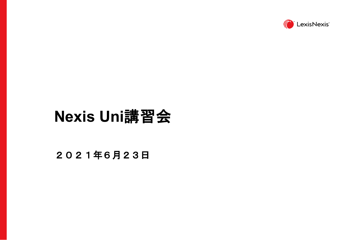

# **Nexis Uni**講習会

2021年6月23日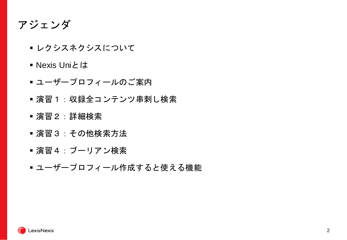### アジェンダ

- レクシスネクシスについて
- Nexis Uniとは
- ユーザープロフィールのご案内
- 演習1:収録全コンテンツ串刺し検索
- 演習2:詳細検索
- 演習3:その他検索方法
- 演習4:ブーリアン検索
- ユーザープロフィール作成すると使える機能

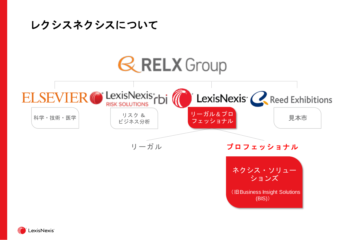

**LexisNexis**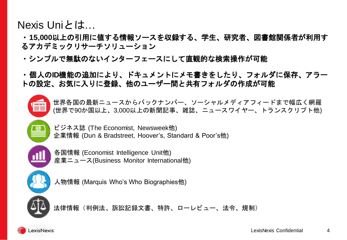#### Nexis Uniとは…

・**15,000**以上の引用に値する情報ソースを収録する、学生、研究者、図書館関係者が利用す るアカデミックリサーチソリューション

・シンプルで無駄のないインターフェースにして直観的な検索操作が可能

・個人の**ID**機能の追加により、ドキュメントにメモ書きをしたり、フォルダに保存、アラー トの設定、お気に入りに登録、他のユーザー間と共有フォルダの作成が可能



世界各国の最新ニュースからバックナンバー、ソーシャルメディアフィードまで幅広く網羅 (世界で90か国以上、3,000以上の新聞記事、雑誌、ニュースワイヤー、トランスクリプト他)



ビジネス誌 (The Economist, Newsweek他) 企業情報 (Dun & Bradstreet, Hoover's, Standard & Poor's他)



各国情報 (Economist Intelligence Unit他) 産業ニュース(Business Monitor International他)



人物情報 (Marquis Who's Who Biographies他)



法律情報(判例法、訴訟記録文書、特許、ローレビュー、法令、規制)

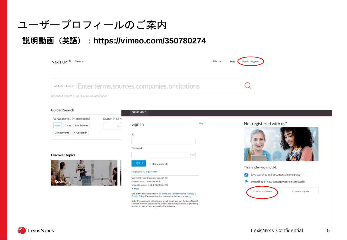#### ユーザープロフィールのご案内

#### 説明動画(英語):**https://vimeo.com/350780274**

| All Nexis Uni ~ Enter terms, sources, companies, or citations |  |
|---------------------------------------------------------------|--|

#### **Guided Search**

| Search in all N | What are you interested in? |                      |
|-----------------|-----------------------------|----------------------|
|                 | <b>Law Reviews</b>          | Cases<br><b>News</b> |
|                 | A Publication               | Company Info         |

#### **Discover topics**



| ________                    |                  |      |
|-----------------------------|------------------|------|
| Sign In                     |                  | Help |
| ID                          |                  |      |
| Password                    |                  |      |
|                             | SHOW             |      |
| Sign In                     | Remember Me<br>n |      |
| Forgot your ID or password? |                  |      |
|                             |                  |      |

Questions? Call Customer Support at : United States: 1-800-897-3419 United Kingdom: +44 (0)186 584 4752

- More

Nevis Uni™

Use of this service is subject to Terms and Conditions and Privacy & Cookie Policy. Please review this information before proceeding.

Note: Personal data with respect to individual users of the LexisNexis® services will be exported to the United States for purposes of providing access to, use of, and support for the services.

#### Not registered with us?



This is why you should...



Be notified of new content you're interested in

Create a profile now



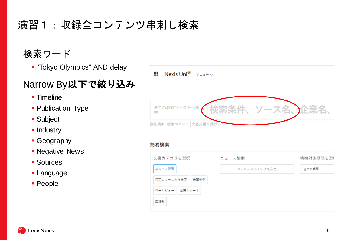## 演習1:収録全コンテンツ串刺し検索

#### 検索ワード

▪ "Tokyo Olympics" AND delay

### Narrow By以下で絞り込み

- **Timeline**
- **Publication Type**
- Subject
- **Industry**
- **Geography**
- **Negative News**
- Sources
- **Language**
- People



#### 簡易検索

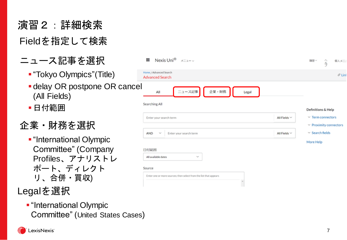演習2:詳細検索 Field を指定して検索

- ニュース記事 を選択
	- "Tokyo Olympics"(Title)
	- **delay OR postpone OR cance** (All Fields)
	- ■日付範囲
- 企業・財務を選択
	- **.** "International Olympic Committee" (Company Profiles 、アナリストレ ポート 、ディレクト リ 、合併 ・買収 )

### Legal を選択

**.** "International Olympic Committee" (United States Cases )

| Nexis Uni <sup>®</sup> $\times$ =2- $\sim$<br>₩                               | 履歴ン<br>△⇒<br>個人メニ:                                    |
|-------------------------------------------------------------------------------|-------------------------------------------------------|
| Home / Advanced Search<br><b>Advanced Search</b>                              | $\mathcal O$ Link                                     |
| ニュース記事<br>企業・財務<br>All<br>Legal<br>Searching All                              | Definitions & Help                                    |
| All Fields $\sim$<br>Enter your search term                                   | $\vee$ Term connectors<br>$\vee$ Proximity connectors |
| Enter your search term<br>All Fields $\vee$<br>AND<br>$\sim$                  | $\vee$ Search fields                                  |
| 日付範囲<br>All available dates<br>$\sim$                                         | More Help                                             |
| Source                                                                        |                                                       |
| Enter one or more sources; then select from the list that appears<br>$\Delta$ |                                                       |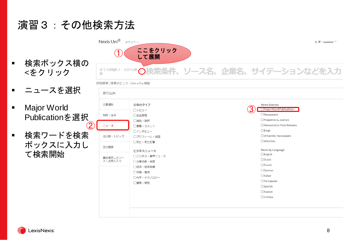演習3:その他検索方法

- 検索ボックス <をクリック
- ニュースを選
- Major World **Publicationを**
- 検索ワードを ボックスに入 て検索開始

| Nexis Uni <sup>®</sup> $\times$ = $1 - \times$ |                          | ⊕ JP - Japanese $\vee$                          |
|------------------------------------------------|--------------------------|-------------------------------------------------|
| く横の                                            | ここをクリック<br>して展開          | 金ての収録ソースから検索条件、ソース名、企業名、サイテーションなどを入力            |
| 詳細検索 検索のヒント Get a Doc機能                        |                          |                                                 |
| 絞り込み:                                          |                          |                                                 |
| 文書種別                                           | 記事のタイプ<br>ロレビュー          | <b>News Sources</b><br>Major World Publications |
| 判例・法令<br>:選択                                   | □放送原稿<br>□論説・論評          | Newspapers<br>Magazines & Journals              |
| $\boldsymbol{2}$<br>ニュース                       | □書簡・コメント<br>ロインタビュー      | □ Newswires & Press Releases<br>$\Box$ Blogs    |
| E検索<br>法分野・トピック<br>、力し                         | □プロフィール・経歴<br>□死亡・死亡記事   | University Newspapers<br>$\Box$ WebLinks        |
| 日付範囲<br>最近使用したソー                               | ビジネスニュース<br>□ビジネス・業界ニュース | <b>News by Language</b><br>$\Box$ English       |
| ス・お気に入り                                        | □企業活動・経営<br>□経済・経済指標     | $\Box$ Dutch<br>$\Box$ French<br>German         |
|                                                | □労働・雇用<br>□科学・テクノロジー     | $\Box$ Italian<br>Portuguese                    |
|                                                | □貿易・開発                   | $\Box$ Spanish<br><b>ORussian</b>               |
|                                                |                          | □ Chinese                                       |
|                                                |                          |                                                 |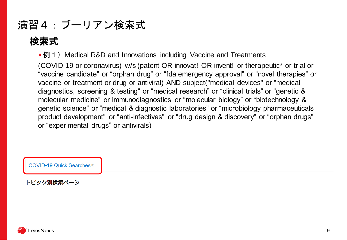### 演習4:ブーリアン検索式

### 検索式

■ 例 1) Medical R&D and Innovations including Vaccine and Treatments

(COVID-19 or coronavirus) w/s (patent OR innovat! OR invent! or therapeutic\* or trial or "vaccine candidate" or "orphan drug" or "fda emergency approval" or "novel therapies" or vaccine or treatment or drug or antiviral) AND subject("medical devices" or "medical diagnostics, screening & testing" or "medical research" or "clinical trials" or "genetic & molecular medicine" or immunodiagnostics or "molecular biology" or "biotechnology & genetic science" or "medical & diagnostic laboratories" or "microbiology pharmaceuticals product development" or "anti-infectives" or "drug design & discovery" or "orphan drugs" or "experimental drugs" or antivirals)



トピック別検索ページ